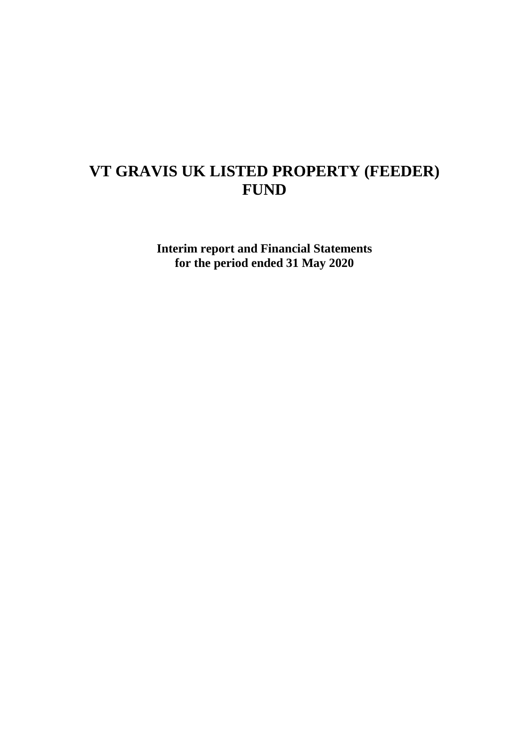# **VT GRAVIS UK LISTED PROPERTY (FEEDER) FUND**

**Interim report and Financial Statements for the period ended 31 May 2020**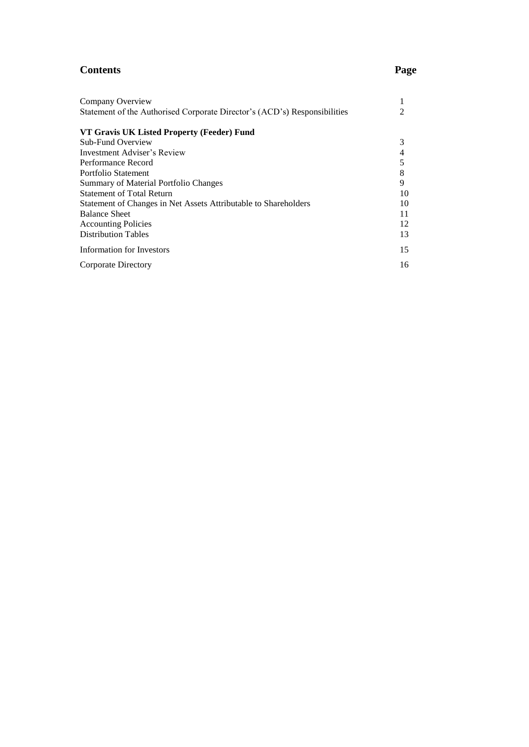# **Contents Page**

| Company Overview                                                          |    |
|---------------------------------------------------------------------------|----|
| Statement of the Authorised Corporate Director's (ACD's) Responsibilities |    |
| VT Gravis UK Listed Property (Feeder) Fund                                |    |
| Sub-Fund Overview                                                         | 3  |
| Investment Adviser's Review                                               | 4  |
| Performance Record                                                        | 5  |
| Portfolio Statement                                                       | 8  |
| Summary of Material Portfolio Changes                                     | 9  |
| <b>Statement of Total Return</b>                                          | 10 |
| Statement of Changes in Net Assets Attributable to Shareholders           | 10 |
| <b>Balance Sheet</b>                                                      | 11 |
| <b>Accounting Policies</b>                                                | 12 |
| <b>Distribution Tables</b>                                                | 13 |
| Information for Investors                                                 | 15 |
| Corporate Directory                                                       | 16 |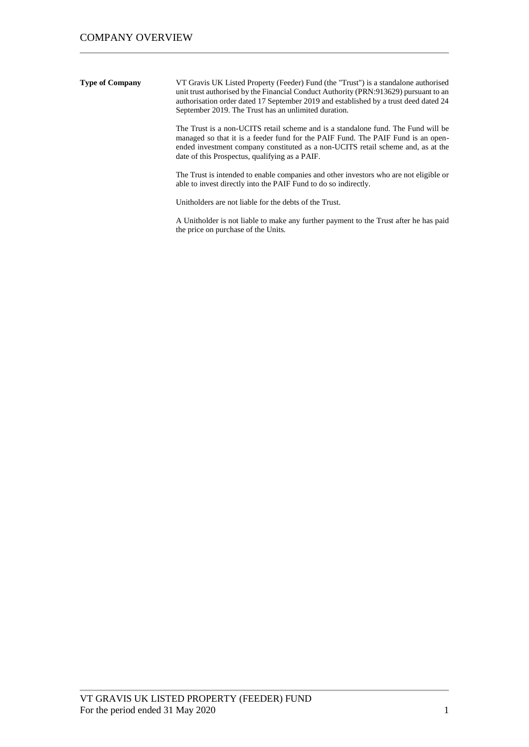**Type of Company** VT Gravis UK Listed Property (Feeder) Fund (the "Trust") is a standalone authorised unit trust authorised by the Financial Conduct Authority (PRN:913629) pursuant to an authorisation order dated 17 September 2019 and established by a trust deed dated 24 September 2019. The Trust has an unlimited duration.

> The Trust is a non-UCITS retail scheme and is a standalone fund. The Fund will be managed so that it is a feeder fund for the PAIF Fund. The PAIF Fund is an openended investment company constituted as a non-UCITS retail scheme and, as at the date of this Prospectus, qualifying as a PAIF.

> The Trust is intended to enable companies and other investors who are not eligible or able to invest directly into the PAIF Fund to do so indirectly.

Unitholders are not liable for the debts of the Trust.

A Unitholder is not liable to make any further payment to the Trust after he has paid the price on purchase of the Units.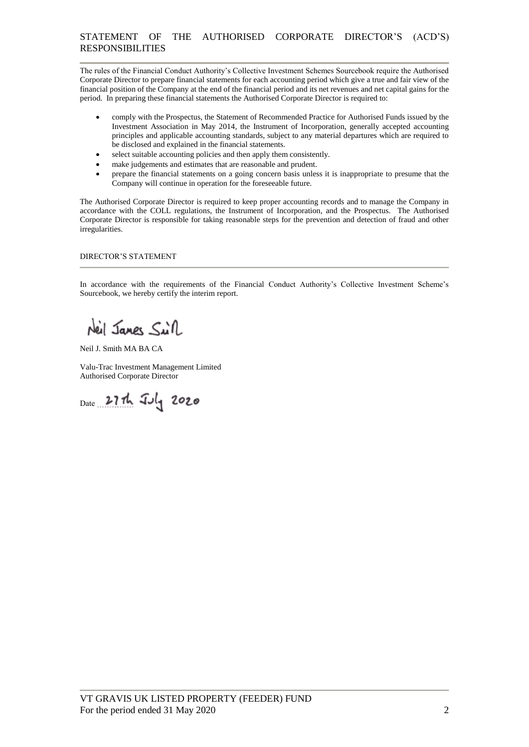The rules of the Financial Conduct Authority's Collective Investment Schemes Sourcebook require the Authorised Corporate Director to prepare financial statements for each accounting period which give a true and fair view of the financial position of the Company at the end of the financial period and its net revenues and net capital gains for the period. In preparing these financial statements the Authorised Corporate Director is required to:

- comply with the Prospectus, the Statement of Recommended Practice for Authorised Funds issued by the Investment Association in May 2014, the Instrument of Incorporation, generally accepted accounting principles and applicable accounting standards, subject to any material departures which are required to be disclosed and explained in the financial statements.
- select suitable accounting policies and then apply them consistently.
- make judgements and estimates that are reasonable and prudent.
- prepare the financial statements on a going concern basis unless it is inappropriate to presume that the Company will continue in operation for the foreseeable future.

The Authorised Corporate Director is required to keep proper accounting records and to manage the Company in accordance with the COLL regulations, the Instrument of Incorporation, and the Prospectus. The Authorised Corporate Director is responsible for taking reasonable steps for the prevention and detection of fraud and other irregularities.

## DIRECTOR'S STATEMENT

In accordance with the requirements of the Financial Conduct Authority's Collective Investment Scheme's Sourcebook, we hereby certify the interim report.

Neil Janes Sull

Neil J. Smith MA BA CA

Valu-Trac Investment Management Limited Authorised Corporate Director

Date 27th July 2020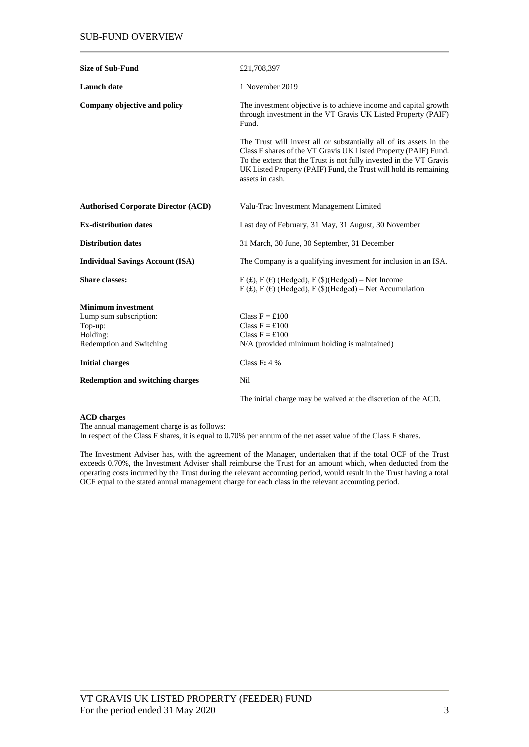| <b>Size of Sub-Fund</b>                    | £21,708,397                                                                                                                                                                                                                                                                                           |
|--------------------------------------------|-------------------------------------------------------------------------------------------------------------------------------------------------------------------------------------------------------------------------------------------------------------------------------------------------------|
| <b>Launch</b> date                         | 1 November 2019                                                                                                                                                                                                                                                                                       |
| Company objective and policy               | The investment objective is to achieve income and capital growth<br>through investment in the VT Gravis UK Listed Property (PAIF)<br>Fund.                                                                                                                                                            |
|                                            | The Trust will invest all or substantially all of its assets in the<br>Class F shares of the VT Gravis UK Listed Property (PAIF) Fund.<br>To the extent that the Trust is not fully invested in the VT Gravis<br>UK Listed Property (PAIF) Fund, the Trust will hold its remaining<br>assets in cash. |
| <b>Authorised Corporate Director (ACD)</b> | Valu-Trac Investment Management Limited                                                                                                                                                                                                                                                               |
| <b>Ex-distribution dates</b>               | Last day of February, 31 May, 31 August, 30 November                                                                                                                                                                                                                                                  |
| <b>Distribution dates</b>                  | 31 March, 30 June, 30 September, 31 December                                                                                                                                                                                                                                                          |
| <b>Individual Savings Account (ISA)</b>    | The Company is a qualifying investment for inclusion in an ISA.                                                                                                                                                                                                                                       |
| <b>Share classes:</b>                      | $F(f, F)$ (F) (Hedged), F (\$)(Hedged) – Net Income<br>$F(f)$ , $F(f)$ (Hedged), $F(f)$ (Hedged) – Net Accumulation                                                                                                                                                                                   |
| <b>Minimum investment</b>                  |                                                                                                                                                                                                                                                                                                       |
| Lump sum subscription:                     | Class $F = £100$                                                                                                                                                                                                                                                                                      |
| Top-up:                                    | Class $F = £100$                                                                                                                                                                                                                                                                                      |
| Holding:                                   | Class $F = £100$                                                                                                                                                                                                                                                                                      |
| Redemption and Switching                   | N/A (provided minimum holding is maintained)                                                                                                                                                                                                                                                          |
| <b>Initial charges</b>                     | Class $F: 4%$                                                                                                                                                                                                                                                                                         |
| <b>Redemption and switching charges</b>    | <b>Nil</b>                                                                                                                                                                                                                                                                                            |
|                                            | The initial charge may be waived at the discretion of the ACD.                                                                                                                                                                                                                                        |

#### **ACD charges**

The annual management charge is as follows:

In respect of the Class F shares, it is equal to 0.70% per annum of the net asset value of the Class F shares.

The Investment Adviser has, with the agreement of the Manager, undertaken that if the total OCF of the Trust exceeds 0.70%, the Investment Adviser shall reimburse the Trust for an amount which, when deducted from the operating costs incurred by the Trust during the relevant accounting period, would result in the Trust having a total OCF equal to the stated annual management charge for each class in the relevant accounting period.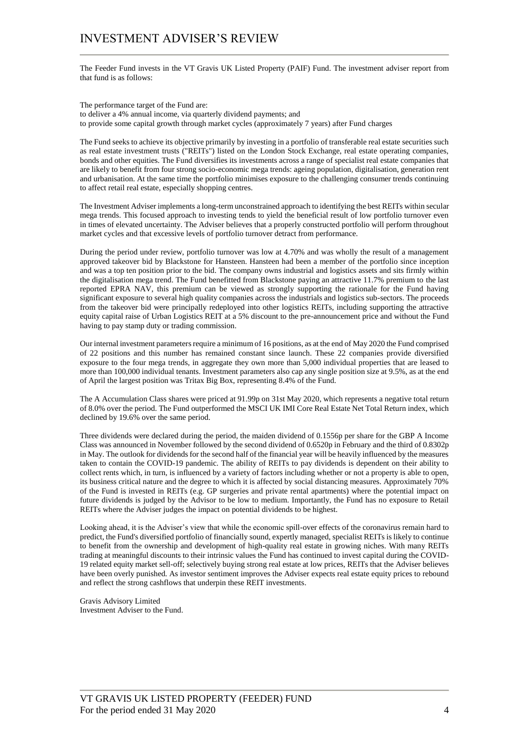## INVESTMENT ADVISER'S REVIEW

The Feeder Fund invests in the VT Gravis UK Listed Property (PAIF) Fund. The investment adviser report from that fund is as follows:

The performance target of the Fund are: to deliver a 4% annual income, via quarterly dividend payments; and to provide some capital growth through market cycles (approximately 7 years) after Fund charges

The Fund seeks to achieve its objective primarily by investing in a portfolio of transferable real estate securities such as real estate investment trusts ("REITs") listed on the London Stock Exchange, real estate operating companies, bonds and other equities. The Fund diversifies its investments across a range of specialist real estate companies that are likely to benefit from four strong socio-economic mega trends: ageing population, digitalisation, generation rent and urbanisation. At the same time the portfolio minimises exposure to the challenging consumer trends continuing to affect retail real estate, especially shopping centres.

The Investment Adviser implements a long-term unconstrained approach to identifying the best REITs within secular mega trends. This focused approach to investing tends to yield the beneficial result of low portfolio turnover even in times of elevated uncertainty. The Adviser believes that a properly constructed portfolio will perform throughout market cycles and that excessive levels of portfolio turnover detract from performance.

During the period under review, portfolio turnover was low at 4.70% and was wholly the result of a management approved takeover bid by Blackstone for Hansteen. Hansteen had been a member of the portfolio since inception and was a top ten position prior to the bid. The company owns industrial and logistics assets and sits firmly within the digitalisation mega trend. The Fund benefitted from Blackstone paying an attractive 11.7% premium to the last reported EPRA NAV, this premium can be viewed as strongly supporting the rationale for the Fund having significant exposure to several high quality companies across the industrials and logistics sub-sectors. The proceeds from the takeover bid were principally redeployed into other logistics REITs, including supporting the attractive equity capital raise of Urban Logistics REIT at a 5% discount to the pre-announcement price and without the Fund having to pay stamp duty or trading commission.

Our internal investment parameters require a minimum of 16 positions, as at the end of May 2020 the Fund comprised of 22 positions and this number has remained constant since launch. These 22 companies provide diversified exposure to the four mega trends, in aggregate they own more than 5,000 individual properties that are leased to more than 100,000 individual tenants. Investment parameters also cap any single position size at 9.5%, as at the end of April the largest position was Tritax Big Box, representing 8.4% of the Fund.

The A Accumulation Class shares were priced at 91.99p on 31st May 2020, which represents a negative total return of 8.0% over the period. The Fund outperformed the MSCI UK IMI Core Real Estate Net Total Return index, which declined by 19.6% over the same period.

Three dividends were declared during the period, the maiden dividend of 0.1556p per share for the GBP A Income Class was announced in November followed by the second dividend of 0.6520p in February and the third of 0.8302p in May. The outlook for dividends for the second half of the financial year will be heavily influenced by the measures taken to contain the COVID-19 pandemic. The ability of REITs to pay dividends is dependent on their ability to collect rents which, in turn, is influenced by a variety of factors including whether or not a property is able to open, its business critical nature and the degree to which it is affected by social distancing measures. Approximately 70% of the Fund is invested in REITs (e.g. GP surgeries and private rental apartments) where the potential impact on future dividends is judged by the Advisor to be low to medium. Importantly, the Fund has no exposure to Retail REITs where the Adviser judges the impact on potential dividends to be highest.

Looking ahead, it is the Adviser's view that while the economic spill-over effects of the coronavirus remain hard to predict, the Fund's diversified portfolio of financially sound, expertly managed, specialist REITs is likely to continue to benefit from the ownership and development of high-quality real estate in growing niches. With many REITs trading at meaningful discounts to their intrinsic values the Fund has continued to invest capital during the COVID-19 related equity market sell-off; selectively buying strong real estate at low prices, REITs that the Adviser believes have been overly punished. As investor sentiment improves the Adviser expects real estate equity prices to rebound and reflect the strong cashflows that underpin these REIT investments.

Gravis Advisory Limited Investment Adviser to the Fund.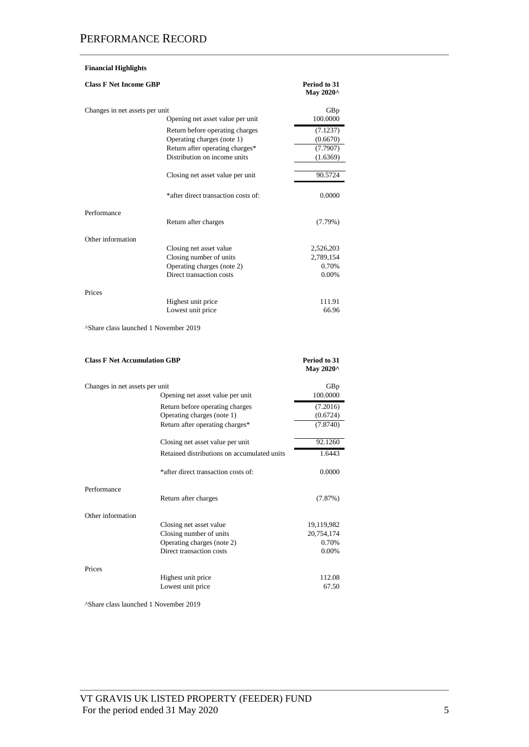## **Financial Highlights**

| <b>Class F Net Income GBP</b>       |                                             | Period to 31<br>May 2020^ |
|-------------------------------------|---------------------------------------------|---------------------------|
| Changes in net assets per unit      | Opening net asset value per unit            | GBp<br>100.0000           |
|                                     | Return before operating charges             | (7.1237)                  |
|                                     | Operating charges (note 1)                  | (0.6670)                  |
|                                     | Return after operating charges*             | (7.7907)                  |
|                                     | Distribution on income units                | (1.6369)                  |
|                                     | Closing net asset value per unit            | 90.5724                   |
|                                     | *after direct transaction costs of:         | 0.0000                    |
| Performance                         |                                             |                           |
|                                     | Return after charges                        | (7.79%)                   |
| Other information                   |                                             |                           |
|                                     | Closing net asset value                     | 2,526,203                 |
|                                     | Closing number of units                     | 2,789,154                 |
|                                     | Operating charges (note 2)                  | 0.70%                     |
|                                     | Direct transaction costs                    | 0.00%                     |
| Prices                              |                                             |                           |
|                                     | Highest unit price                          | 111.91                    |
|                                     | Lowest unit price                           | 66.96                     |
| <b>Class F Net Accumulation GBP</b> |                                             | Period to 31<br>May 2020^ |
|                                     |                                             |                           |
| Changes in net assets per unit      |                                             | GBp                       |
|                                     | Opening net asset value per unit            | 100.0000                  |
|                                     | Return before operating charges             | (7.2016)                  |
|                                     | Operating charges (note 1)                  | (0.6724)                  |
|                                     | Return after operating charges*             | (7.8740)                  |
|                                     | Closing net asset value per unit            | 92.1260                   |
|                                     | Retained distributions on accumulated units | 1.6443                    |
|                                     | *after direct transaction costs of:         | 0.0000                    |
| Performance                         | Return after charges                        | (7.87%)                   |
| Other information                   |                                             |                           |
|                                     | Closing net asset value                     | 19,119,982                |
|                                     | Closing number of units                     | 20,754,174                |
|                                     | Operating charges (note 2)                  | 0.70%                     |
|                                     | Direct transaction costs                    | 0.00%                     |
| Prices                              |                                             |                           |
|                                     | Highest unit price                          | 112.08                    |
|                                     |                                             |                           |
|                                     | Lowest unit price                           | 67.50                     |

^Share class launched 1 November 2019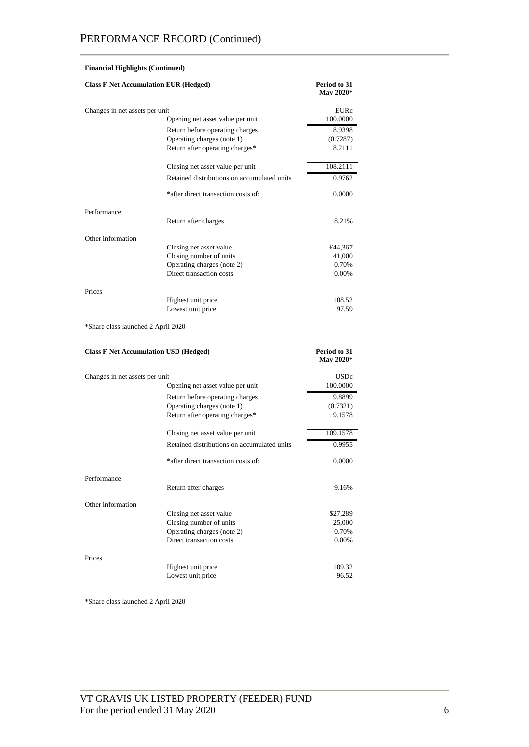|                                              | <b>Financial Highlights (Continued)</b>                |                           |  |  |
|----------------------------------------------|--------------------------------------------------------|---------------------------|--|--|
| <b>Class F Net Accumulation EUR (Hedged)</b> |                                                        | Period to 31<br>May 2020* |  |  |
| Changes in net assets per unit               |                                                        | EURc                      |  |  |
|                                              | Opening net asset value per unit                       | 100.0000                  |  |  |
|                                              | Return before operating charges                        | 8.9398                    |  |  |
|                                              | Operating charges (note 1)                             | (0.7287)                  |  |  |
|                                              | Return after operating charges*                        | 8.2111                    |  |  |
|                                              | Closing net asset value per unit                       | 108.2111                  |  |  |
|                                              | Retained distributions on accumulated units            | 0.9762                    |  |  |
|                                              | *after direct transaction costs of:                    | 0.0000                    |  |  |
| Performance                                  |                                                        |                           |  |  |
|                                              | Return after charges                                   | 8.21%                     |  |  |
| Other information                            |                                                        |                           |  |  |
|                                              | Closing net asset value                                | €44,367                   |  |  |
|                                              | Closing number of units                                | 41,000                    |  |  |
|                                              | Operating charges (note 2)<br>Direct transaction costs | 0.70%                     |  |  |
|                                              |                                                        | 0.00%                     |  |  |
| Prices                                       | Highest unit price                                     | 108.52                    |  |  |
|                                              | Lowest unit price                                      | 97.59                     |  |  |
|                                              |                                                        |                           |  |  |
| *Share class launched 2 April 2020           |                                                        |                           |  |  |
| <b>Class F Net Accumulation USD (Hedged)</b> |                                                        | Period to 31<br>May 2020* |  |  |
| Changes in net assets per unit               |                                                        | <b>USDc</b>               |  |  |
|                                              | Opening net asset value per unit                       |                           |  |  |
|                                              |                                                        | 100.0000                  |  |  |
|                                              | Return before operating charges                        | 9.8899                    |  |  |
|                                              | Operating charges (note 1)                             | (0.7321)                  |  |  |
|                                              | Return after operating charges*                        | 9.1578                    |  |  |
|                                              | Closing net asset value per unit                       | 109.1578                  |  |  |
|                                              | Retained distributions on accumulated units            | 0.9955                    |  |  |
|                                              | *after direct transaction costs of:                    | 0.0000                    |  |  |
| Performance                                  |                                                        |                           |  |  |
|                                              | Return after charges                                   | 9.16%                     |  |  |
| Other information                            |                                                        |                           |  |  |
|                                              | Closing net asset value                                | \$27,289                  |  |  |
|                                              | Closing number of units                                | 25,000                    |  |  |
|                                              | Operating charges (note 2)                             | 0.70%                     |  |  |
|                                              | Direct transaction costs                               | 0.00%                     |  |  |
| Prices                                       |                                                        |                           |  |  |
|                                              | Highest unit price                                     | 109.32                    |  |  |
|                                              | Lowest unit price                                      | 96.52                     |  |  |

\*Share class launched 2 April 2020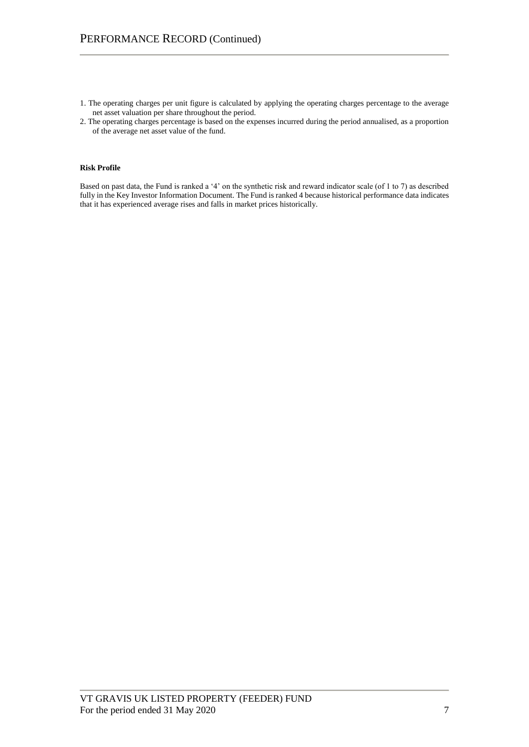- 1. The operating charges per unit figure is calculated by applying the operating charges percentage to the average net asset valuation per share throughout the period.
- 2. The operating charges percentage is based on the expenses incurred during the period annualised, as a proportion of the average net asset value of the fund.

## **Risk Profile**

Based on past data, the Fund is ranked a '4' on the synthetic risk and reward indicator scale (of 1 to 7) as described fully in the Key Investor Information Document. The Fund is ranked 4 because historical performance data indicates that it has experienced average rises and falls in market prices historically.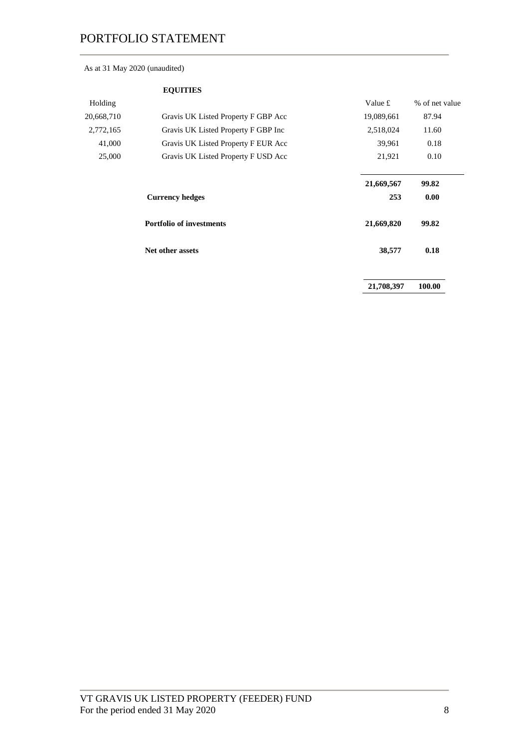## As at 31 May 2020 (unaudited)

|            | <b>EQUITIES</b>                     |            |                |
|------------|-------------------------------------|------------|----------------|
| Holding    |                                     | Value £    | % of net value |
| 20,668,710 | Gravis UK Listed Property F GBP Acc | 19,089,661 | 87.94          |
| 2,772,165  | Gravis UK Listed Property F GBP Inc | 2,518,024  | 11.60          |
| 41,000     | Gravis UK Listed Property F EUR Acc | 39,961     | 0.18           |
| 25,000     | Gravis UK Listed Property F USD Acc | 21,921     | 0.10           |
|            |                                     | 21,669,567 | 99.82          |
|            | <b>Currency hedges</b>              | 253        | 0.00           |
|            | <b>Portfolio of investments</b>     | 21,669,820 | 99.82          |
|            | Net other assets                    | 38,577     | 0.18           |
|            |                                     | 21,708,397 | 100.00         |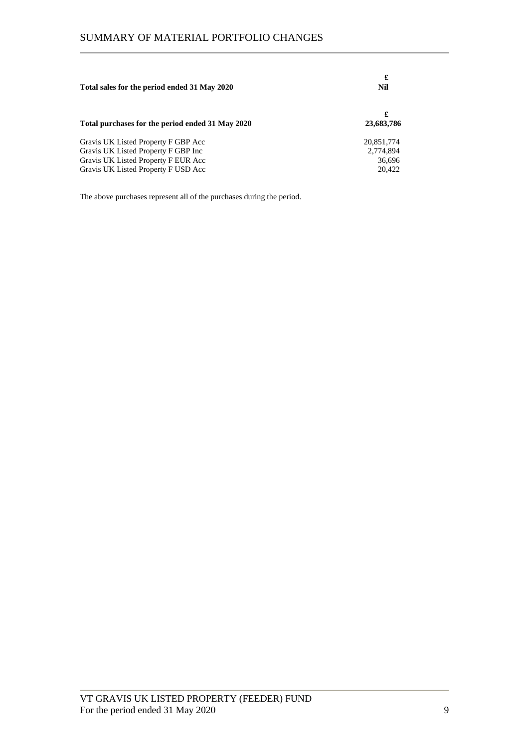| Total sales for the period ended 31 May 2020                                                                                                             | £<br>Nil                                    |  |
|----------------------------------------------------------------------------------------------------------------------------------------------------------|---------------------------------------------|--|
| Total purchases for the period ended 31 May 2020                                                                                                         | £<br>23,683,786                             |  |
| Gravis UK Listed Property F GBP Acc<br>Gravis UK Listed Property F GBP Inc<br>Gravis UK Listed Property F EUR Acc<br>Gravis UK Listed Property F USD Acc | 20,851,774<br>2,774,894<br>36.696<br>20.422 |  |

The above purchases represent all of the purchases during the period.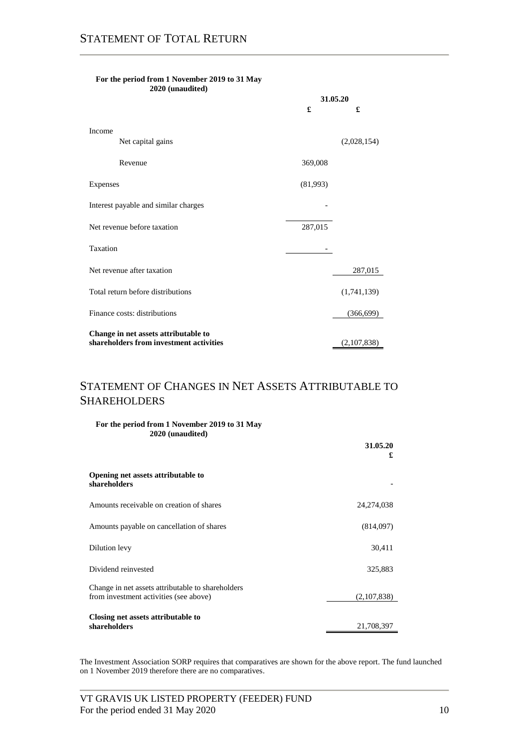|                                         | 31.05.20 |             |  |
|-----------------------------------------|----------|-------------|--|
|                                         | £        | £           |  |
| Income                                  |          |             |  |
| Net capital gains                       |          | (2,028,154) |  |
| Revenue                                 | 369,008  |             |  |
| Expenses                                | (81,993) |             |  |
| Interest payable and similar charges    |          |             |  |
| Net revenue before taxation             | 287,015  |             |  |
| Taxation                                |          |             |  |
| Net revenue after taxation              |          | 287,015     |  |
| Total return before distributions       |          | (1,741,139) |  |
| Finance costs: distributions            |          | (366, 699)  |  |
| Change in net assets attributable to    |          |             |  |
| shareholders from investment activities |          | (2,107,838) |  |

#### **For the period from 1 November 2019 to 31 May 2020 (unaudited)**

# STATEMENT OF CHANGES IN NET ASSETS ATTRIBUTABLE TO SHAREHOLDERS

| For the period from 1 November 2019 to 31 May |  |
|-----------------------------------------------|--|
| 2020 (unaudited)                              |  |
|                                               |  |
|                                               |  |

|                                                                                             | £            |
|---------------------------------------------------------------------------------------------|--------------|
| Opening net assets attributable to<br>shareholders                                          |              |
| Amounts receivable on creation of shares                                                    | 24, 274, 038 |
| Amounts payable on cancellation of shares                                                   | (814,097)    |
| Dilution levy                                                                               | 30,411       |
| Dividend reinvested                                                                         | 325,883      |
| Change in net assets attributable to shareholders<br>from investment activities (see above) | (2,107,838)  |
| Closing net assets attributable to<br>shareholders                                          | 21,708,397   |

The Investment Association SORP requires that comparatives are shown for the above report. The fund launched on 1 November 2019 therefore there are no comparatives.

**31.05.20**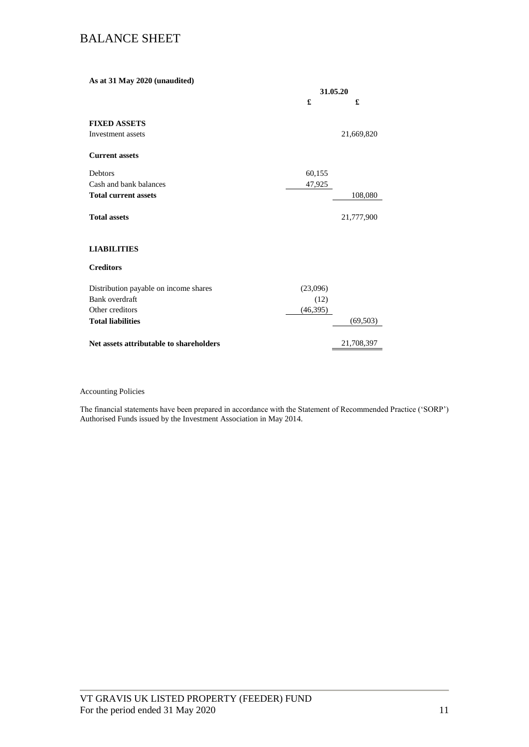# BALANCE SHEET

| As at 31 May 2020 (unaudited)           |           |            |
|-----------------------------------------|-----------|------------|
|                                         |           | 31.05.20   |
|                                         | £         | £          |
| <b>FIXED ASSETS</b>                     |           |            |
| Investment assets                       |           | 21,669,820 |
| <b>Current assets</b>                   |           |            |
| <b>Debtors</b>                          | 60,155    |            |
| Cash and bank balances                  | 47,925    |            |
| <b>Total current assets</b>             |           | 108,080    |
| <b>Total assets</b>                     |           | 21,777,900 |
| <b>LIABILITIES</b>                      |           |            |
| <b>Creditors</b>                        |           |            |
| Distribution payable on income shares   | (23,096)  |            |
| Bank overdraft                          | (12)      |            |
| Other creditors                         | (46, 395) |            |
| <b>Total liabilities</b>                |           | (69, 503)  |
| Net assets attributable to shareholders |           | 21,708,397 |
|                                         |           |            |

## Accounting Policies

The financial statements have been prepared in accordance with the Statement of Recommended Practice ('SORP') Authorised Funds issued by the Investment Association in May 2014.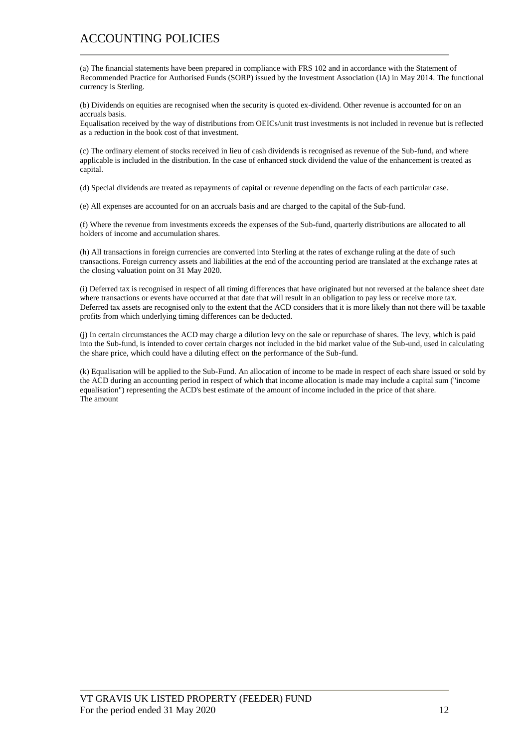# ACCOUNTING POLICIES

(a) The financial statements have been prepared in compliance with FRS 102 and in accordance with the Statement of Recommended Practice for Authorised Funds (SORP) issued by the Investment Association (IA) in May 2014. The functional currency is Sterling.

(b) Dividends on equities are recognised when the security is quoted ex-dividend. Other revenue is accounted for on an accruals basis.

Equalisation received by the way of distributions from OEICs/unit trust investments is not included in revenue but is reflected as a reduction in the book cost of that investment.

(c) The ordinary element of stocks received in lieu of cash dividends is recognised as revenue of the Sub-fund, and where applicable is included in the distribution. In the case of enhanced stock dividend the value of the enhancement is treated as capital.

(d) Special dividends are treated as repayments of capital or revenue depending on the facts of each particular case.

(e) All expenses are accounted for on an accruals basis and are charged to the capital of the Sub-fund.

(f) Where the revenue from investments exceeds the expenses of the Sub-fund, quarterly distributions are allocated to all holders of income and accumulation shares.

(h) All transactions in foreign currencies are converted into Sterling at the rates of exchange ruling at the date of such transactions. Foreign currency assets and liabilities at the end of the accounting period are translated at the exchange rates at the closing valuation point on 31 May 2020.

(i) Deferred tax is recognised in respect of all timing differences that have originated but not reversed at the balance sheet date where transactions or events have occurred at that date that will result in an obligation to pay less or receive more tax. Deferred tax assets are recognised only to the extent that the ACD considers that it is more likely than not there will be taxable profits from which underlying timing differences can be deducted.

(j) In certain circumstances the ACD may charge a dilution levy on the sale or repurchase of shares. The levy, which is paid into the Sub-fund, is intended to cover certain charges not included in the bid market value of the Sub-und, used in calculating the share price, which could have a diluting effect on the performance of the Sub-fund.

(k) Equalisation will be applied to the Sub-Fund. An allocation of income to be made in respect of each share issued or sold by the ACD during an accounting period in respect of which that income allocation is made may include a capital sum ("income equalisation") representing the ACD's best estimate of the amount of income included in the price of that share. The amount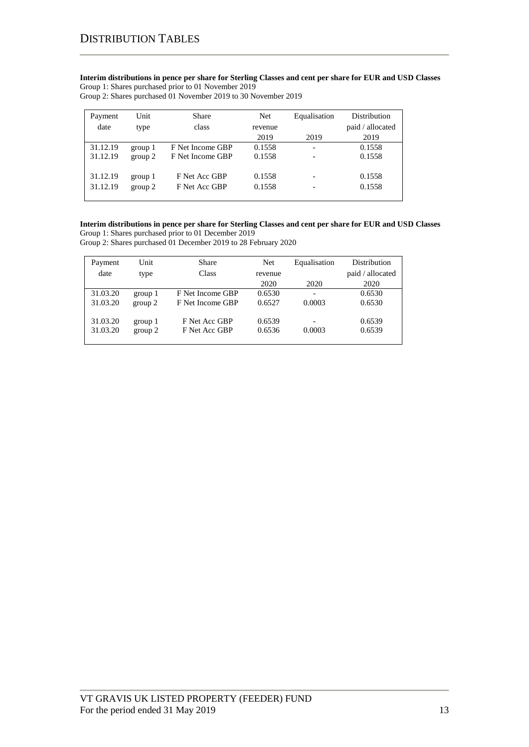**Interim distributions in pence per share for Sterling Classes and cent per share for EUR and USD Classes** Group 1: Shares purchased prior to 01 November 2019

Group 2: Shares purchased 01 November 2019 to 30 November 2019

| Payment  | Unit    | Share            | <b>Net</b> | Equalisation | <b>Distribution</b> |
|----------|---------|------------------|------------|--------------|---------------------|
| date     | type    | class            | revenue    |              | paid / allocated    |
|          |         |                  | 2019       | 2019         | 2019                |
| 31.12.19 | group 1 | F Net Income GBP | 0.1558     |              | 0.1558              |
| 31.12.19 | group 2 | F Net Income GBP | 0.1558     |              | 0.1558              |
|          |         |                  |            |              |                     |
| 31.12.19 | group 1 | F Net Acc GBP    | 0.1558     |              | 0.1558              |
| 31.12.19 | group 2 | F Net Acc GBP    | 0.1558     |              | 0.1558              |
|          |         |                  |            |              |                     |

### **Interim distributions in pence per share for Sterling Classes and cent per share for EUR and USD Classes** Group 1: Shares purchased prior to 01 December 2019

Group 2: Shares purchased 01 December 2019 to 28 February 2020

| Payment  | Unit    | Share            | Net     | Equalisation | <b>Distribution</b> |
|----------|---------|------------------|---------|--------------|---------------------|
| date     | type    | Class            | revenue |              | paid / allocated    |
|          |         |                  | 2020    | 2020         | 2020                |
| 31.03.20 | group 1 | F Net Income GBP | 0.6530  |              | 0.6530              |
| 31.03.20 | group 2 | F Net Income GBP | 0.6527  | 0.0003       | 0.6530              |
| 31.03.20 | group 1 | F Net Acc GBP    | 0.6539  |              | 0.6539              |
|          |         |                  |         |              |                     |
| 31.03.20 | group 2 | F Net Acc GBP    | 0.6536  | 0.0003       | 0.6539              |
|          |         |                  |         |              |                     |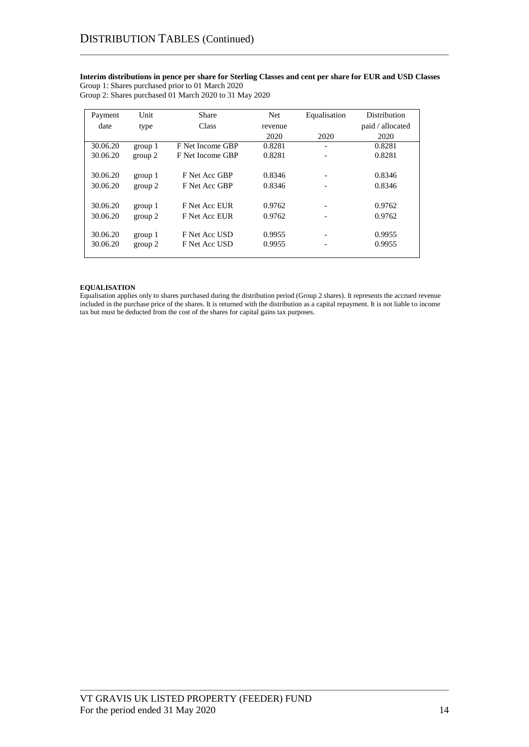## **Interim distributions in pence per share for Sterling Classes and cent per share for EUR and USD Classes** Group 1: Shares purchased prior to 01 March 2020

| Group 2: Shares purchased 01 March 2020 to 31 May 2020 |  |
|--------------------------------------------------------|--|
|--------------------------------------------------------|--|

| Payment  | Unit    | <b>Share</b>     | Net     | Equalisation | Distribution     |
|----------|---------|------------------|---------|--------------|------------------|
| date     | type    | Class            | revenue |              | paid / allocated |
|          |         |                  | 2020    | 2020         | 2020             |
| 30.06.20 | group 1 | F Net Income GBP | 0.8281  | -            | 0.8281           |
| 30.06.20 | group 2 | F Net Income GBP | 0.8281  |              | 0.8281           |
|          |         |                  |         |              |                  |
| 30.06.20 | group 1 | F Net Acc GBP    | 0.8346  |              | 0.8346           |
| 30.06.20 | group 2 | F Net Acc GBP    | 0.8346  |              | 0.8346           |
|          |         |                  |         |              |                  |
| 30.06.20 | group 1 | F Net Acc EUR    | 0.9762  |              | 0.9762           |
| 30.06.20 | group 2 | F Net Acc EUR    | 0.9762  |              | 0.9762           |
|          |         |                  |         |              |                  |
| 30.06.20 | group 1 | F Net Acc USD    | 0.9955  |              | 0.9955           |
| 30.06.20 | group 2 | F Net Acc USD    | 0.9955  |              | 0.9955           |
|          |         |                  |         |              |                  |

## **EQUALISATION**

Equalisation applies only to shares purchased during the distribution period (Group 2 shares). It represents the accrued revenue included in the purchase price of the shares. It is returned with the distribution as a capital repayment. It is not liable to income tax but must be deducted from the cost of the shares for capital gains tax purposes.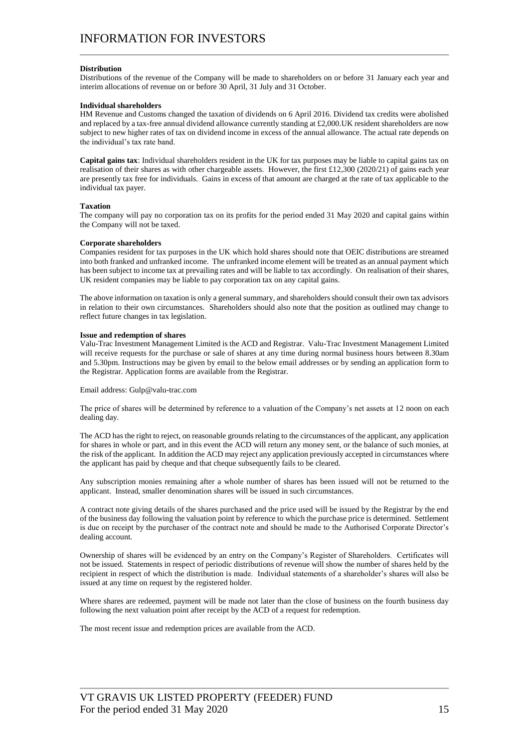#### **Distribution**

Distributions of the revenue of the Company will be made to shareholders on or before 31 January each year and interim allocations of revenue on or before 30 April, 31 July and 31 October.

#### **Individual shareholders**

HM Revenue and Customs changed the taxation of dividends on 6 April 2016. Dividend tax credits were abolished and replaced by a tax-free annual dividend allowance currently standing at  $£2,000$ . UK resident shareholders are now subject to new higher rates of tax on dividend income in excess of the annual allowance. The actual rate depends on the individual's tax rate band.

**Capital gains tax**: Individual shareholders resident in the UK for tax purposes may be liable to capital gains tax on realisation of their shares as with other chargeable assets. However, the first £12,300 (2020/21) of gains each year are presently tax free for individuals. Gains in excess of that amount are charged at the rate of tax applicable to the individual tax payer.

#### **Taxation**

The company will pay no corporation tax on its profits for the period ended 31 May 2020 and capital gains within the Company will not be taxed.

#### **Corporate shareholders**

Companies resident for tax purposes in the UK which hold shares should note that OEIC distributions are streamed into both franked and unfranked income. The unfranked income element will be treated as an annual payment which has been subject to income tax at prevailing rates and will be liable to tax accordingly. On realisation of their shares, UK resident companies may be liable to pay corporation tax on any capital gains.

The above information on taxation is only a general summary, and shareholders should consult their own tax advisors in relation to their own circumstances. Shareholders should also note that the position as outlined may change to reflect future changes in tax legislation.

#### **Issue and redemption of shares**

Valu-Trac Investment Management Limited is the ACD and Registrar. Valu-Trac Investment Management Limited will receive requests for the purchase or sale of shares at any time during normal business hours between 8.30am and 5.30pm. Instructions may be given by email to the below email addresses or by sending an application form to the Registrar. Application forms are available from the Registrar.

Email address: Gulp@valu-trac.com

The price of shares will be determined by reference to a valuation of the Company's net assets at 12 noon on each dealing day.

The ACD has the right to reject, on reasonable grounds relating to the circumstances of the applicant, any application for shares in whole or part, and in this event the ACD will return any money sent, or the balance of such monies, at the risk of the applicant. In addition the ACD may reject any application previously accepted in circumstances where the applicant has paid by cheque and that cheque subsequently fails to be cleared.

Any subscription monies remaining after a whole number of shares has been issued will not be returned to the applicant. Instead, smaller denomination shares will be issued in such circumstances.

A contract note giving details of the shares purchased and the price used will be issued by the Registrar by the end of the business day following the valuation point by reference to which the purchase price is determined. Settlement is due on receipt by the purchaser of the contract note and should be made to the Authorised Corporate Director's dealing account.

Ownership of shares will be evidenced by an entry on the Company's Register of Shareholders. Certificates will not be issued. Statements in respect of periodic distributions of revenue will show the number of shares held by the recipient in respect of which the distribution is made. Individual statements of a shareholder's shares will also be issued at any time on request by the registered holder.

Where shares are redeemed, payment will be made not later than the close of business on the fourth business day following the next valuation point after receipt by the ACD of a request for redemption.

The most recent issue and redemption prices are available from the ACD.